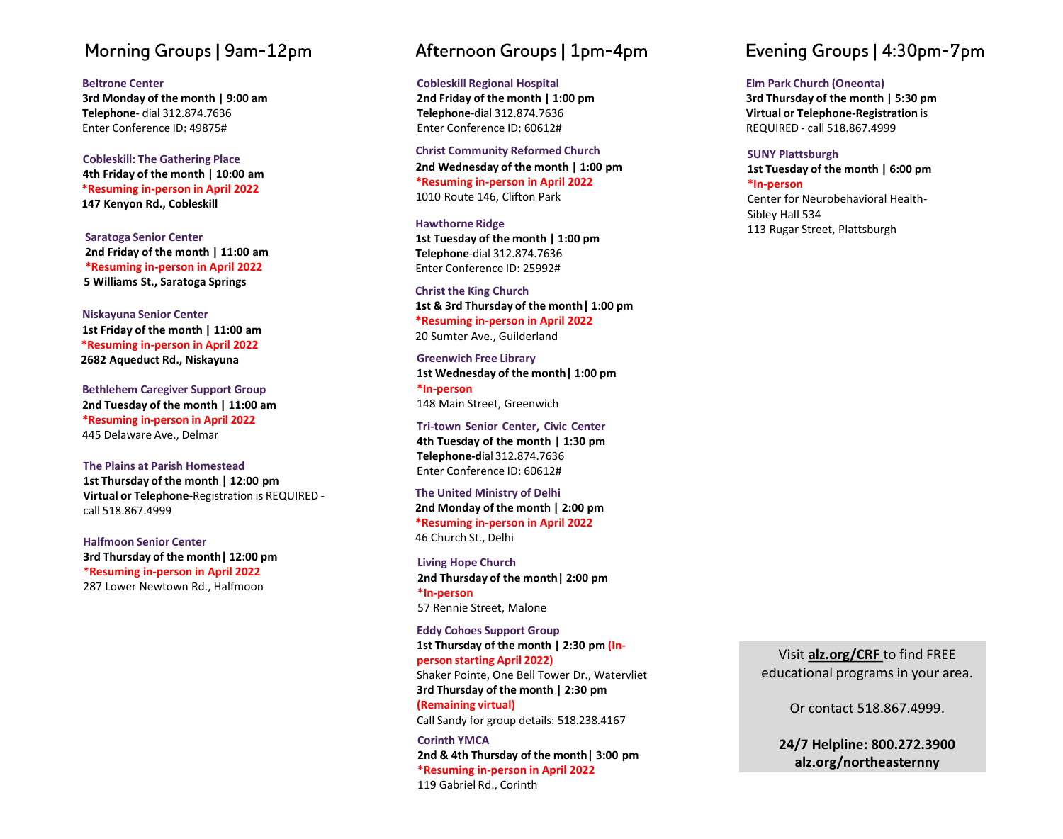# Morning Groups | 9am-12pm

#### **Beltrone Center**

**3rd Monday of the month | 9:00 am Telephone** - dial 312 .874 .7636 Enter Conference ID: 49875#

**Cobleskill: The Gathering Place 4th Friday of the month | 10:00 am \*Resuming in -person in April 2022 147 Kenyon Rd., Cobleskill**

**Saratoga Senior Center 2nd Friday of the month | 11:0 0 am \*Resuming in -person in April 2022 5 Williams St., Saratoga Springs**

**Niskayuna Senior Center 1st Friday of the month | 11:00 am \*Resuming in -person in April 2022 2682 Aqueduct Rd., Niskayuna**

**Bethlehem Caregiver Support Group 2nd Tuesday of the month | 11:00 am \*Resuming in -person in April 2022** 445 Delaware Ave., Delmar

**The Plains at Parish Homestead 1st Thursday of the month | 12:00 pm** Virtual or Telephone-Registration is REQUIRED call 518.867.4999

**Halfmoon Senior Center 3rd Thursday of the month| 12:00 pm \*Resuming in-person in April 2022** 287 Lower Newtown Rd., Halfmoon

## Afternoon Groups | 1pm-4pm

**Cobleskill Regional Hospital**

**2nd Friday of the month | 1:00 pm Telephone** - dial 312 .874 .7636 Enter Conference ID: 60612#

**Christ Community Reformed Church 2nd Wednesday of the month | 1:00 pm \*Resuming in -person in April 2022** 1010 Route 146, Clifton Park

**Hawthorne Ridge 1st Tuesday of the month | 1:00 pm Telephone** - dial 312 .874 .7636 Enter Conference ID: 25992#

**Christ the King Church 1st & 3rd Thursd ay of the month| 1:00 p m \*Resuming in -person in April 2022** 20 Sumter Ave., Guilderland

**Greenwich Free Library 1st Wednesday of the month| 1:00 p m \*In -person** 148 Main Street, Greenwich

**Tri -town Senior Center, Civic Center 4th Tuesday of the month | 1 :30 pm Telephone - d**ial 312 .874 .7636 Enter Conference ID : 60612 #

**The United Ministry of Delhi 2nd Monday of the month | 2:00 pm \*Resuming in -person in April 2022** 46 Church St., Delhi

**Living Hope Church 2nd Thursd ay of the month| 2:00 p m \*In -person** 57 Rennie Street, Malone

**Eddy Cohoes Support Group 1st Thursday of the month | 2:30 pm (In person starting April 2022)** Shaker Pointe, One Bell Tower Dr., Watervliet **3rd Thursday of the month | 2:30 pm (Remaining virtual)** Call Sandy for group details: 518.238.4167

**Corinth YMCA 2nd & 4th Thursday of the month| 3:00 pm \*Resuming in -person in April 2022** 119 Gabriel Rd., Corinth

# Evening Groups | 4:30pm-7pm

#### **Elm Park Church (Oneonta)**

**3rd Thursday of the month | 5:30 pm Virtual or Telephone -Registration** is REQUIRED - call 518.867.4999

#### **SUNY Plattsburgh**

**1st Tuesday of the month | 6:00 pm \*In -person**

Center for Neurobehavioral Health - Sibley Hall 534 113 Rugar Street, Plattsburgh

Visit **alz.org/CRF** to find FREE educational programs in your area.

Or contact 518.867.4999.

**24/7 Helpline: 800.272.3900 alz.org/northeasternny**